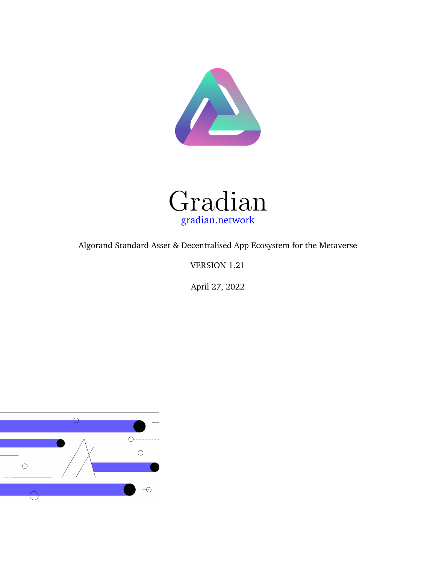



Algorand Standard Asset & Decentralised App Ecosystem for the Metaverse

VERSION 1.21

April 27, 2022

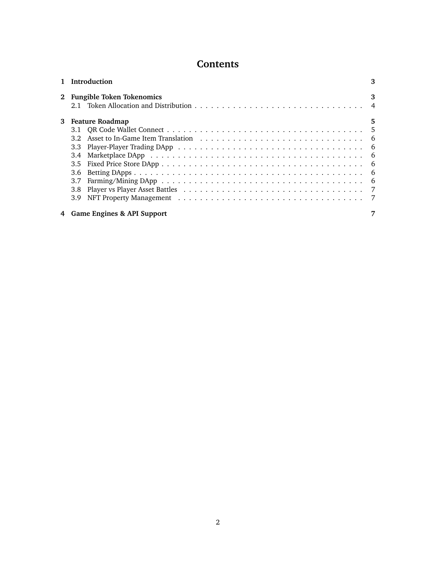# **Contents**

| 1 Introduction               | 3 |  |  |  |  |  |  |  |
|------------------------------|---|--|--|--|--|--|--|--|
| 2 Fungible Token Tokenomics  | 3 |  |  |  |  |  |  |  |
| 3 Feature Roadmap            |   |  |  |  |  |  |  |  |
|                              |   |  |  |  |  |  |  |  |
|                              |   |  |  |  |  |  |  |  |
|                              |   |  |  |  |  |  |  |  |
|                              |   |  |  |  |  |  |  |  |
|                              |   |  |  |  |  |  |  |  |
|                              |   |  |  |  |  |  |  |  |
| 3.7                          |   |  |  |  |  |  |  |  |
|                              |   |  |  |  |  |  |  |  |
|                              |   |  |  |  |  |  |  |  |
| 4 Game Engines & API Support | 7 |  |  |  |  |  |  |  |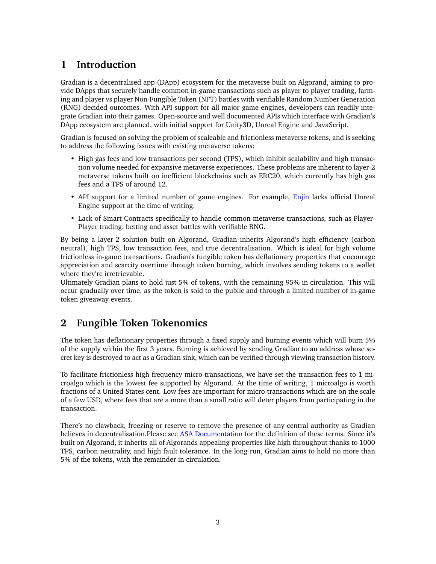# <span id="page-2-0"></span>**1 Introduction**

Gradian is a decentralised app (DApp) ecosystem for the metaverse built on Algorand, aiming to provide DApps that securely handle common in-game transactions such as player to player trading, farming and player vs player Non-Fungible Token (NFT) battles with verifiable Random Number Generation (RNG) decided outcomes. With API support for all major game engines, developers can readily integrate Gradian into their games. Open-source and well documented APIs which interface with Gradian's DApp ecosystem are planned, with initial support for Unity3D, Unreal Engine and JavaScript.

Gradian is focused on solving the problem of scaleable and frictionless metaverse tokens, and is seeking to address the following issues with existing metaverse tokens:

- High gas fees and low transactions per second (TPS), which inhibit scalability and high transaction volume needed for expansive metaverse experiences. These problems are inherent to layer-2 metaverse tokens built on inefficient blockchains such as ERC20, which currently has high gas fees and a TPS of around 12.
- API support for a limited number of game engines. For example, [Enjin](https://enjin.io/) lacks official Unreal Engine support at the time of writing.
- Lack of Smart Contracts specifically to handle common metaverse transactions, such as Player-Player trading, betting and asset battles with verifiable RNG.

By being a layer-2 solution built on Algorand, Gradian inherits Algorand's high efficiency (carbon neutral), high TPS, low transaction fees, and true decentralisation. Which is ideal for high volume frictionless in-game transactions. Gradian's fungible token has deflationary properties that encourage appreciation and scarcity overtime through token burning, which involves sending tokens to a wallet where they're irretrievable.

Ultimately Gradian plans to hold just 5% of tokens, with the remaining 95% in circulation. This will occur gradually over time, as the token is sold to the public and through a limited number of in-game token giveaway events.

# <span id="page-2-1"></span>**2 Fungible Token Tokenomics**

The token has deflationary properties through a fixed supply and burning events which will burn 5% of the supply within the first 3 years. Burning is achieved by sending Gradian to an address whose secret key is destroyed to act as a Gradian sink, which can be verified through viewing transaction history.

To facilitate frictionless high frequency micro-transactions, we have set the transaction fees to 1 microalgo which is the lowest fee supported by Algorand. At the time of writing, 1 microalgo is worth fractions of a United States cent. Low fees are important for micro-transactions which are on the scale of a few USD, where fees that are a more than a small ratio will deter players from participating in the transaction.

There's no clawback, freezing or reserve to remove the presence of any central authority as Gradian believes in decentralisation.Please see [ASA Documentation](https://developer.algorand.org/docs/get-details/asa/) for the definition of these terms. Since it's built on Algorand, it inherits all of Algorands appealing properties like high throughput thanks to 1000 TPS, carbon neutrality, and high fault tolerance. In the long run, Gradian aims to hold no more than 5% of the tokens, with the remainder in circulation.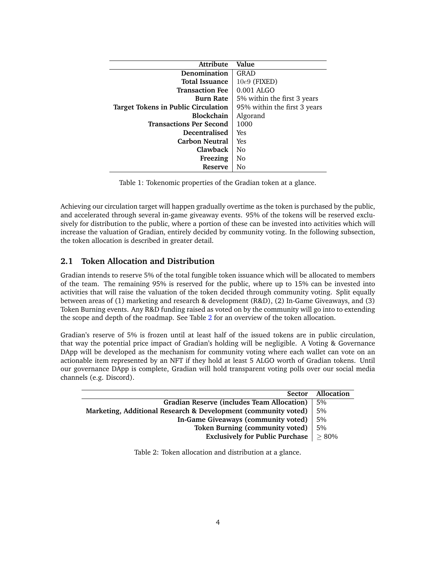| <b>Attribute</b>                    | Value                        |  |  |  |
|-------------------------------------|------------------------------|--|--|--|
| Denomination                        | GRAD                         |  |  |  |
| <b>Total Issuance</b>               | $10e9$ (FIXED)               |  |  |  |
| <b>Transaction Fee</b>              | $0.001$ ALGO                 |  |  |  |
| <b>Burn Rate</b>                    | 5% within the first 3 years  |  |  |  |
| Target Tokens in Public Circulation | 95% within the first 3 years |  |  |  |
| <b>Blockchain</b>                   | Algorand                     |  |  |  |
| <b>Transactions Per Second</b>      | 1000                         |  |  |  |
| <b>Decentralised</b>                | Yes                          |  |  |  |
| <b>Carbon Neutral</b>               | Yes                          |  |  |  |
| Clawback                            | No                           |  |  |  |
| Freezing                            | No                           |  |  |  |
| Reserve                             | No                           |  |  |  |

| Table 1: Tokenomic properties of the Gradian token at a glance. |  |  |  |  |  |  |  |  |
|-----------------------------------------------------------------|--|--|--|--|--|--|--|--|
|-----------------------------------------------------------------|--|--|--|--|--|--|--|--|

Achieving our circulation target will happen gradually overtime as the token is purchased by the public, and accelerated through several in-game giveaway events. 95% of the tokens will be reserved exclusively for distribution to the public, where a portion of these can be invested into activities which will increase the valuation of Gradian, entirely decided by community voting. In the following subsection, the token allocation is described in greater detail.

#### <span id="page-3-0"></span>**2.1 Token Allocation and Distribution**

Gradian intends to reserve 5% of the total fungible token issuance which will be allocated to members of the team. The remaining 95% is reserved for the public, where up to 15% can be invested into activities that will raise the valuation of the token decided through community voting. Split equally between areas of (1) marketing and research & development (R&D), (2) In-Game Giveaways, and (3) Token Burning events. Any R&D funding raised as voted on by the community will go into to extending the scope and depth of the roadmap. See Table [2](#page-3-1) for an overview of the token allocation.

Gradian's reserve of 5% is frozen until at least half of the issued tokens are in public circulation, that way the potential price impact of Gradian's holding will be negligible. A Voting & Governance DApp will be developed as the mechanism for community voting where each wallet can vote on an actionable item represented by an NFT if they hold at least 5 ALGO worth of Gradian tokens. Until our governance DApp is complete, Gradian will hold transparent voting polls over our social media channels (e.g. Discord).

<span id="page-3-1"></span>

| <b>Sector</b>                                                  | Allocation |
|----------------------------------------------------------------|------------|
| <b>Gradian Reserve (includes Team Allocation)</b>              | .5%        |
| Marketing, Additional Research & Development (community voted) | 5%         |
| In-Game Giveaways (community voted)                            | 5%         |
| Token Burning (community voted)                                | 5%         |
| Exclusively for Public Purchase $  \geq 80\%$                  |            |

Table 2: Token allocation and distribution at a glance.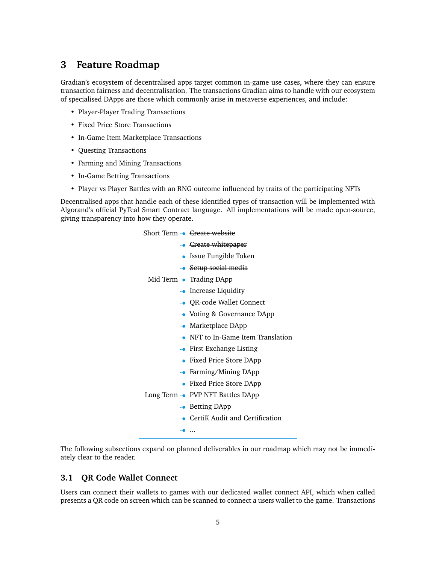## <span id="page-4-0"></span>**3 Feature Roadmap**

Gradian's ecosystem of decentralised apps target common in-game use cases, where they can ensure transaction fairness and decentralisation. The transactions Gradian aims to handle with our ecosystem of specialised DApps are those which commonly arise in metaverse experiences, and include:

- Player-Player Trading Transactions
- Fixed Price Store Transactions
- In-Game Item Marketplace Transactions
- Questing Transactions
- Farming and Mining Transactions
- In-Game Betting Transactions
- Player vs Player Battles with an RNG outcome influenced by traits of the participating NFTs

Decentralised apps that handle each of these identified types of transaction will be implemented with Algorand's official PyTeal Smart Contract language. All implementations will be made open-source, giving transparency into how they operate.

> Short Term  $\rightarrow$  <del>Create website</del>  $\bullet$  Create whitepaper **Issue Fungible Token Setup social media** Mid Term  $\sim$  Trading DApp  $\overline{\bullet}$  Increase Liquidity QR-code Wallet Connect **Voting & Governance DApp**  $\bullet$  Marketplace DApp NFT to In-Game Item Translation  $\overrightarrow{P}$  First Exchange Listing Fixed Price Store DApp **Farming/Mining DApp** Fixed Price Store DApp Long Term - PVP NFT Battles DApp **Betting DApp** CertiK Audit and Certification ... ∳

The following subsections expand on planned deliverables in our roadmap which may not be immediately clear to the reader.

#### <span id="page-4-1"></span>**3.1 QR Code Wallet Connect**

Users can connect their wallets to games with our dedicated wallet connect API, which when called presents a QR code on screen which can be scanned to connect a users wallet to the game. Transactions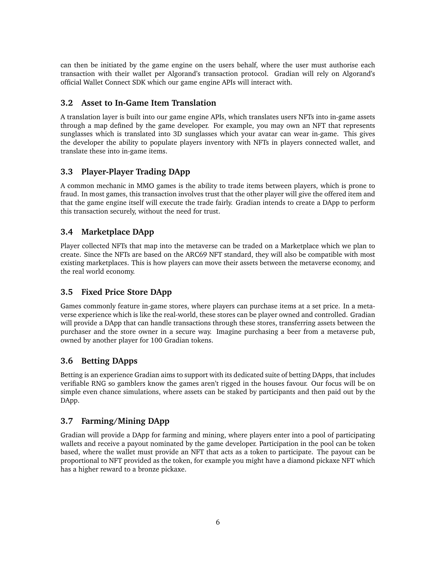can then be initiated by the game engine on the users behalf, where the user must authorise each transaction with their wallet per Algorand's transaction protocol. Gradian will rely on Algorand's official Wallet Connect SDK which our game engine APIs will interact with.

#### <span id="page-5-0"></span>**3.2 Asset to In-Game Item Translation**

A translation layer is built into our game engine APIs, which translates users NFTs into in-game assets through a map defined by the game developer. For example, you may own an NFT that represents sunglasses which is translated into 3D sunglasses which your avatar can wear in-game. This gives the developer the ability to populate players inventory with NFTs in players connected wallet, and translate these into in-game items.

### <span id="page-5-1"></span>**3.3 Player-Player Trading DApp**

A common mechanic in MMO games is the ability to trade items between players, which is prone to fraud. In most games, this transaction involves trust that the other player will give the offered item and that the game engine itself will execute the trade fairly. Gradian intends to create a DApp to perform this transaction securely, without the need for trust.

### <span id="page-5-2"></span>**3.4 Marketplace DApp**

Player collected NFTs that map into the metaverse can be traded on a Marketplace which we plan to create. Since the NFTs are based on the ARC69 NFT standard, they will also be compatible with most existing marketplaces. This is how players can move their assets between the metaverse economy, and the real world economy.

### <span id="page-5-3"></span>**3.5 Fixed Price Store DApp**

Games commonly feature in-game stores, where players can purchase items at a set price. In a metaverse experience which is like the real-world, these stores can be player owned and controlled. Gradian will provide a DApp that can handle transactions through these stores, transferring assets between the purchaser and the store owner in a secure way. Imagine purchasing a beer from a metaverse pub, owned by another player for 100 Gradian tokens.

### <span id="page-5-4"></span>**3.6 Betting DApps**

Betting is an experience Gradian aims to support with its dedicated suite of betting DApps, that includes verifiable RNG so gamblers know the games aren't rigged in the houses favour. Our focus will be on simple even chance simulations, where assets can be staked by participants and then paid out by the DApp.

### <span id="page-5-5"></span>**3.7 Farming/Mining DApp**

Gradian will provide a DApp for farming and mining, where players enter into a pool of participating wallets and receive a payout nominated by the game developer. Participation in the pool can be token based, where the wallet must provide an NFT that acts as a token to participate. The payout can be proportional to NFT provided as the token, for example you might have a diamond pickaxe NFT which has a higher reward to a bronze pickaxe.